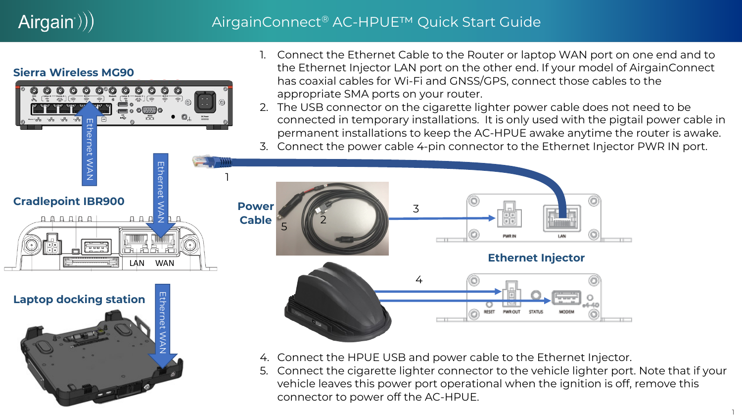# $Airgain$ ))

### AirgainConnect® AC-HPUE™ Quick Start Guide

#### **Sierra Wireless MG90**





- 1. Connect the Ethernet Cable to the Router or laptop WAN port on one end and to the Ethernet Injector LAN port on the other end. If your model of AirgainConnect has coaxial cables for Wi-Fi and GNSS/GPS, connect those cables to the appropriate SMA ports on your router.
- 2. The USB connector on the cigarette lighter power cable does not need to be connected in temporary installations. It is only used with the pigtail power cable in permanent installations to keep the AC-HPUE awake anytime the router is awake.
- 3. Connect the power cable 4-pin connector to the Ethernet Injector PWR IN port.



- 4. Connect the HPUE USB and power cable to the Ethernet Injector.
- 5. Connect the cigarette lighter connector to the vehicle lighter port. Note that if your vehicle leaves this power port operational when the ignition is off, remove this connector to power off the AC-HPUE.